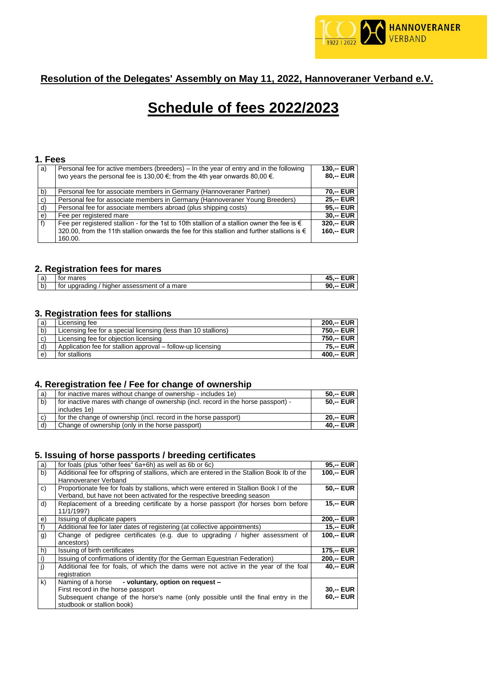

# **Resolution of the Delegates' Assembly on May 11, 2022, Hannoveraner Verband e.V.**

# **Schedule of fees 2022/2023**

#### **1. Fees**

| a) | Personal fee for active members (breeders) – In the year of entry and in the following<br>two years the personal fee is 130,00 $\epsilon$ ; from the 4th year onwards 80,00 $\epsilon$ . | $130 - EUR$<br>$80 - EUR$ |
|----|------------------------------------------------------------------------------------------------------------------------------------------------------------------------------------------|---------------------------|
| b) | Personal fee for associate members in Germany (Hannoveraner Partner)                                                                                                                     | 70 .-- EUR                |
| c) | Personal fee for associate members in Germany (Hannoveraner Young Breeders)                                                                                                              | $25 - EUR$                |
| d) | Personal fee for associate members abroad (plus shipping costs)                                                                                                                          | 95.-- EUR                 |
| e) | Fee per registered mare                                                                                                                                                                  | $30 - EUR$                |
| f  | Fee per registered stallion - for the 1st to 10th stallion of a stallion owner the fee is $\in$                                                                                          | 320.-- EUR                |
|    | 320.00, from the 11th stallion onwards the fee for this stallion and further stallions is $\epsilon$                                                                                     | 160,-- EUR                |
|    | 160.00.                                                                                                                                                                                  |                           |

## **2. Registration fees for mares**

|                               | - -                                                             |         |
|-------------------------------|-----------------------------------------------------------------|---------|
| $\overline{\phantom{0}}$<br>а | mares<br>וטו                                                    |         |
| ⊾<br>ັ                        | mare<br>tor<br>assessment<br>hiar<br>Οt<br>uparadına<br>ne<br>a | n٢<br>- |

#### **3. Registration fees for stallions**

| a)           | Licensing fee                                                  | 200.-- EUR |
|--------------|----------------------------------------------------------------|------------|
| Ib)          | Licensing fee for a special licensing (less than 10 stallions) | 750.-- EUR |
| c            | Licensing fee for objection licensing                          | 750.-- EUR |
| $\mathsf{d}$ | Application fee for stallion approval – follow-up licensing    | 75 -- EUR  |
| l e)         | for stallions                                                  | 400,-- EUR |

#### **4. Reregistration fee / Fee for change of ownership**

| a) | for inactive mares without change of ownership - includes 1e)                                      | $50 - EUR$  |
|----|----------------------------------------------------------------------------------------------------|-------------|
| b) | for inactive mares with change of ownership (incl. record in the horse passport) -<br>includes 1e) | 50 -- EUR I |
| C) | for the change of ownership (incl. record in the horse passport)                                   | 20.-- EUR   |
| d) | Change of ownership (only in the horse passport)                                                   | 40.-- EUR   |

# **5. Issuing of horse passports / breeding certificates**

| a) | for foals (plus "other fees" 6a+6h) as well as 6b or 6c)                                    | 95.-- EUR         |
|----|---------------------------------------------------------------------------------------------|-------------------|
| b) | Additional fee for offspring of stallions, which are entered in the Stallion Book Ib of the | 100,-- EUR        |
|    | Hannoveraner Verband                                                                        |                   |
| c) | Proportionate fee for foals by stallions, which were entered in Stallion Book I of the      | <b>50. -- EUR</b> |
|    | Verband, but have not been activated for the respective breeding season                     |                   |
| d) | Replacement of a breeding certificate by a horse passport (for horses born before           | <b>15. -- EUR</b> |
|    | 11/1/1997)                                                                                  |                   |
| e) | Issuing of duplicate papers                                                                 | 200,-- EUR        |
|    | Additional fee for later dates of registering (at collective appointments)                  | <b>15,-- EUR</b>  |
| g) | Change of pedigree certificates (e.g. due to upgrading / higher assessment of               | 100,-- EUR        |
|    | ancestors)                                                                                  |                   |
| h) | Issuing of birth certificates                                                               | 175,-- EUR        |
|    | Issuing of confirmations of identity (for the German Equestrian Federation)                 | 200,-- EUR        |
| j) | Additional fee for foals, of which the dams were not active in the year of the foal         | $40 - EUR$        |
|    | registration                                                                                |                   |
| k) | Naming of a horse - voluntary, option on request -                                          |                   |
|    | First record in the horse passport                                                          | 30,-- EUR         |
|    | Subsequent change of the horse's name (only possible until the final entry in the           | 60,-- EUR         |
|    | studbook or stallion book)                                                                  |                   |